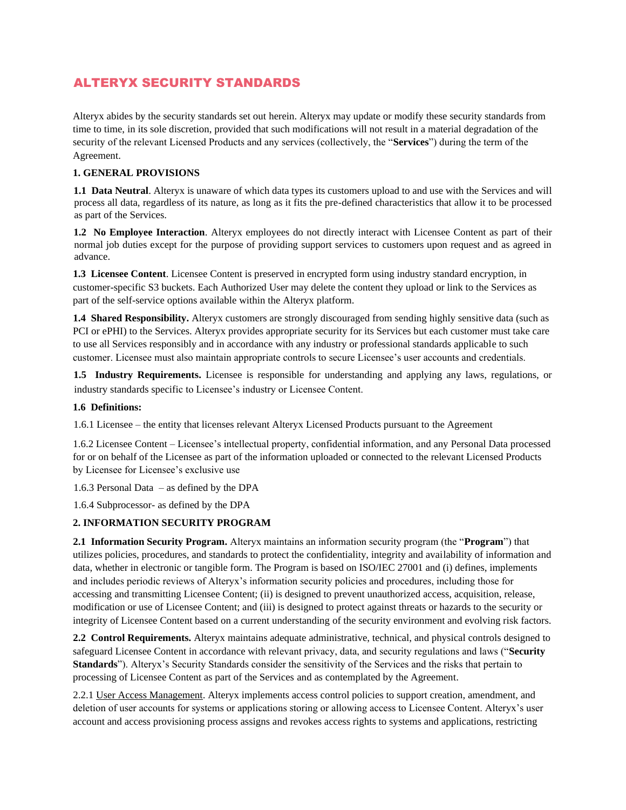# ALTERYX SECURITY STANDARDS

Alteryx abides by the security standards set out herein. Alteryx may update or modify these security standards from time to time, in its sole discretion, provided that such modifications will not result in a material degradation of the security of the relevant Licensed Products and any services (collectively, the "**Services**") during the term of the Agreement.

## **1. GENERAL PROVISIONS**

**1.1 Data Neutral**. Alteryx is unaware of which data types its customers upload to and use with the Services and will process all data, regardless of its nature, as long as it fits the pre-defined characteristics that allow it to be processed as part of the Services.

**1.2 No Employee Interaction**. Alteryx employees do not directly interact with Licensee Content as part of their normal job duties except for the purpose of providing support services to customers upon request and as agreed in advance.

**1.3 Licensee Content**. Licensee Content is preserved in encrypted form using industry standard encryption, in customer-specific S3 buckets. Each Authorized User may delete the content they upload or link to the Services as part of the self-service options available within the Alteryx platform.

**1.4 Shared Responsibility.** Alteryx customers are strongly discouraged from sending highly sensitive data (such as PCI or ePHI) to the Services. Alteryx provides appropriate security for its Services but each customer must take care to use all Services responsibly and in accordance with any industry or professional standards applicable to such customer. Licensee must also maintain appropriate controls to secure Licensee's user accounts and credentials.

**1.5 Industry Requirements.** Licensee is responsible for understanding and applying any laws, regulations, or industry standards specific to Licensee's industry or Licensee Content.

## **1.6 Definitions:**

1.6.1 Licensee – the entity that licenses relevant Alteryx Licensed Products pursuant to the Agreement

1.6.2 Licensee Content – Licensee's intellectual property, confidential information, and any Personal Data processed for or on behalf of the Licensee as part of the information uploaded or connected to the relevant Licensed Products by Licensee for Licensee's exclusive use

1.6.3 Personal Data – as defined by the DPA

1.6.4 Subprocessor- as defined by the DPA

# **2. INFORMATION SECURITY PROGRAM**

**2.1 Information Security Program.** Alteryx maintains an information security program (the "**Program**") that utilizes policies, procedures, and standards to protect the confidentiality, integrity and availability of information and data, whether in electronic or tangible form. The Program is based on ISO/IEC 27001 and (i) defines, implements and includes periodic reviews of Alteryx's information security policies and procedures, including those for accessing and transmitting Licensee Content; (ii) is designed to prevent unauthorized access, acquisition, release, modification or use of Licensee Content; and (iii) is designed to protect against threats or hazards to the security or integrity of Licensee Content based on a current understanding of the security environment and evolving risk factors.

**2.2 Control Requirements.** Alteryx maintains adequate administrative, technical, and physical controls designed to safeguard Licensee Content in accordance with relevant privacy, data, and security regulations and laws ("**Security Standards**"). Alteryx's Security Standards consider the sensitivity of the Services and the risks that pertain to processing of Licensee Content as part of the Services and as contemplated by the Agreement.

2.2.1 User Access Management. Alteryx implements access control policies to support creation, amendment, and deletion of user accounts for systems or applications storing or allowing access to Licensee Content. Alteryx's user account and access provisioning process assigns and revokes access rights to systems and applications, restricting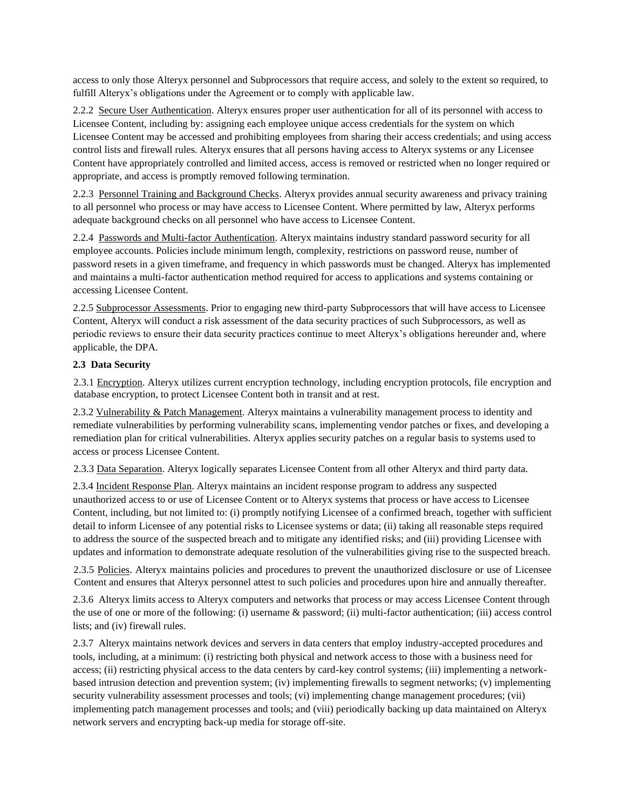access to only those Alteryx personnel and Subprocessors that require access, and solely to the extent so required, to fulfill Alteryx's obligations under the Agreement or to comply with applicable law.

2.2.2 Secure User Authentication. Alteryx ensures proper user authentication for all of its personnel with access to Licensee Content, including by: assigning each employee unique access credentials for the system on which Licensee Content may be accessed and prohibiting employees from sharing their access credentials; and using access control lists and firewall rules. Alteryx ensures that all persons having access to Alteryx systems or any Licensee Content have appropriately controlled and limited access, access is removed or restricted when no longer required or appropriate, and access is promptly removed following termination.

2.2.3 Personnel Training and Background Checks. Alteryx provides annual security awareness and privacy training to all personnel who process or may have access to Licensee Content. Where permitted by law, Alteryx performs adequate background checks on all personnel who have access to Licensee Content.

2.2.4 Passwords and Multi-factor Authentication. Alteryx maintains industry standard password security for all employee accounts. Policies include minimum length, complexity, restrictions on password reuse, number of password resets in a given timeframe, and frequency in which passwords must be changed. Alteryx has implemented and maintains a multi-factor authentication method required for access to applications and systems containing or accessing Licensee Content.

2.2.5 Subprocessor Assessments. Prior to engaging new third-party Subprocessors that will have access to Licensee Content, Alteryx will conduct a risk assessment of the data security practices of such Subprocessors, as well as periodic reviews to ensure their data security practices continue to meet Alteryx's obligations hereunder and, where applicable, the DPA.

#### **2.3 Data Security**

2.3.1 Encryption. Alteryx utilizes current encryption technology, including encryption protocols, file encryption and database encryption, to protect Licensee Content both in transit and at rest.

2.3.2 Vulnerability & Patch Management. Alteryx maintains a vulnerability management process to identity and remediate vulnerabilities by performing vulnerability scans, implementing vendor patches or fixes, and developing a remediation plan for critical vulnerabilities. Alteryx applies security patches on a regular basis to systems used to access or process Licensee Content.

2.3.3 Data Separation. Alteryx logically separates Licensee Content from all other Alteryx and third party data.

2.3.4 Incident Response Plan. Alteryx maintains an incident response program to address any suspected unauthorized access to or use of Licensee Content or to Alteryx systems that process or have access to Licensee Content, including, but not limited to: (i) promptly notifying Licensee of a confirmed breach, together with sufficient detail to inform Licensee of any potential risks to Licensee systems or data; (ii) taking all reasonable steps required to address the source of the suspected breach and to mitigate any identified risks; and (iii) providing Licensee with updates and information to demonstrate adequate resolution of the vulnerabilities giving rise to the suspected breach.

2.3.5 Policies. Alteryx maintains policies and procedures to prevent the unauthorized disclosure or use of Licensee Content and ensures that Alteryx personnel attest to such policies and procedures upon hire and annually thereafter.

2.3.6Alteryx limits access to Alteryx computers and networks that process or may access Licensee Content through the use of one or more of the following: (i) username & password; (ii) multi-factor authentication; (iii) access control lists; and (iv) firewall rules.

2.3.7Alteryx maintains network devices and servers in data centers that employ industry-accepted procedures and tools, including, at a minimum: (i) restricting both physical and network access to those with a business need for access; (ii) restricting physical access to the data centers by card-key control systems; (iii) implementing a networkbased intrusion detection and prevention system; (iv) implementing firewalls to segment networks; (v) implementing security vulnerability assessment processes and tools; (vi) implementing change management procedures; (vii) implementing patch management processes and tools; and (viii) periodically backing up data maintained on Alteryx network servers and encrypting back-up media for storage off-site.